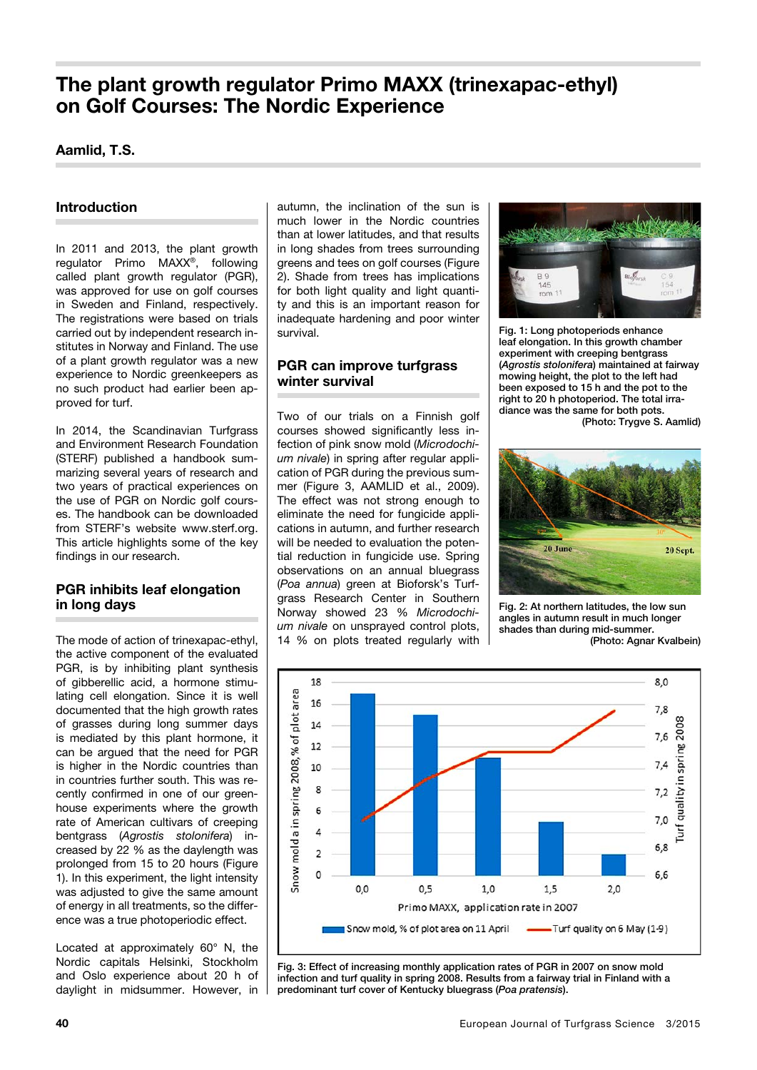# **The plant growth regulator Primo MAXX (trinexapac-ethyl) on Golf Courses: The Nordic Experience**

# **Aamlid, T.S.**

## **Introduction**

In 2011 and 2013, the plant growth regulator Primo MAXX®, following called plant growth regulator (PGR), was approved for use on golf courses in Sweden and Finland, respectively. The registrations were based on trials carried out by independent research institutes in Norway and Finland. The use of a plant growth regulator was a new experience to Nordic greenkeepers as no such product had earlier been approved for turf.

In 2014, the Scandinavian Turfgrass and Environment Research Foundation (STERF) published a handbook summarizing several years of research and two years of practical experiences on the use of PGR on Nordic golf courses. The handbook can be downloaded from STERF's website [www.sterf.org.](http://www.sterf.org) This article highlights some of the key findings in our research.

### **PGR inhibits leaf elongation in long days**

The mode of action of trinexapac-ethyl, the active component of the evaluated PGR, is by inhibiting plant synthesis of gibberellic acid, a hormone stimulating cell elongation. Since it is well documented that the high growth rates of grasses during long summer days is mediated by this plant hormone, it can be argued that the need for PGR is higher in the Nordic countries than in countries further south. This was recently confirmed in one of our greenhouse experiments where the growth rate of American cultivars of creeping bentgrass (*Agrostis stolonifera*) increased by 22 % as the daylength was prolonged from 15 to 20 hours (Figure 1). In this experiment, the light intensity was adjusted to give the same amount of energy in all treatments, so the difference was a true photoperiodic effect.

Located at approximately 60° N, the Nordic capitals Helsinki, Stockholm and Oslo experience about 20 h of daylight in midsummer. However, in autumn, the inclination of the sun is much lower in the Nordic countries than at lower latitudes, and that results in long shades from trees surrounding greens and tees on golf courses (Figure 2). Shade from trees has implications for both light quality and light quantity and this is an important reason for inadequate hardening and poor winter survival.

### **PGR can improve turfgrass winter survival**

Two of our trials on a Finnish golf courses showed significantly less infection of pink snow mold (*Microdochium nivale*) in spring after regular application of PGR during the previous summer (Figure 3, AAMLID et al., 2009). The effect was not strong enough to eliminate the need for fungicide applications in autumn, and further research will be needed to evaluation the potential reduction in fungicide use. Spring observations on an annual bluegrass (*Poa annua*) green at Bioforsk's Turfgrass Research Center in Southern Norway showed 23 % *Microdochium nivale* on unsprayed control plots, 14 % on plots treated regularly with



Fig. 1: Long photoperiods enhance leaf elongation. In this growth chamber experiment with creeping bentgrass (*Agrostis stolonifera*) maintained at fairway mowing height, the plot to the left had been exposed to 15 h and the pot to the right to 20 h photoperiod. The total irradiance was the same for both pots. (Photo: Trygve S. Aamlid)



Fig. 2: At northern latitudes, the low sun angles in autumn result in much longer shades than during mid-summer. (Photo: Agnar Kvalbein)



Fig. 3: Effect of increasing monthly application rates of PGR in 2007 on snow mold infection and turf quality in spring 2008. Results from a fairway trial in Finland with a predominant turf cover of Kentucky bluegrass (*Poa pratensis*).